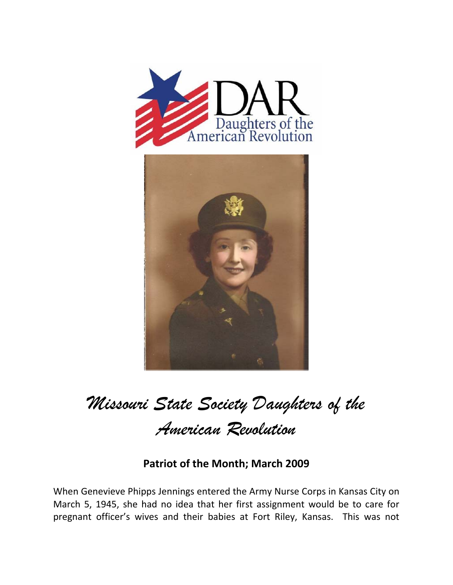



*Missouri State Society Daughters of the American Revolution* 

## **Patriot of the Month; March 2009**

When Genevieve Phipps Jennings entered the Army Nurse Corps in Kansas City on March 5, 1945, she had no idea that her first assignment would be to care for pregnant officer's wives and their babies at Fort Riley, Kansas. This was not